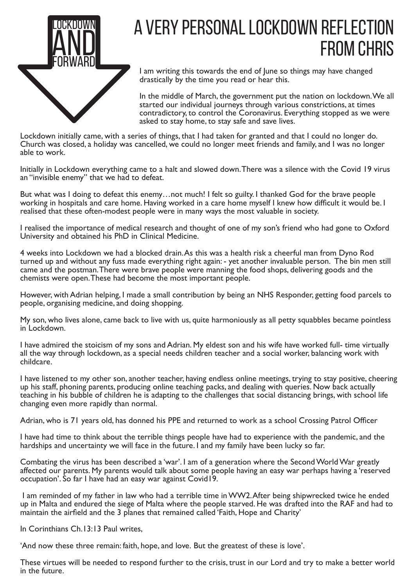

## A VERY PERSONAL LOCKDOWN REFLECTION from Chris

I am writing this towards the end of June so things may have changed drastically by the time you read or hear this.

In the middle of March, the government put the nation on lockdown.We all started our individual journeys through various constrictions, at times contradictory, to control the Coronavirus. Everything stopped as we were asked to stay home, to stay safe and save lives.

Lockdown initially came, with a series of things, that I had taken for granted and that I could no longer do. Church was closed, a holiday was cancelled, we could no longer meet friends and family, and I was no longer able to work.

Initially in Lockdown everything came to a halt and slowed down.There was a silence with the Covid 19 virus an "invisible enemy" that we had to defeat.

But what was I doing to defeat this enemy…not much! I felt so guilty. I thanked God for the brave people working in hospitals and care home. Having worked in a care home myself I knew how difficult it would be. I realised that these often-modest people were in many ways the most valuable in society.

I realised the importance of medical research and thought of one of my son's friend who had gone to Oxford University and obtained his PhD in Clinical Medicine.

4 weeks into Lockdown we had a blocked drain.As this was a health risk a cheerful man from Dyno Rod turned up and without any fuss made everything right again: - yet another invaluable person. The bin men still came and the postman.There were brave people were manning the food shops, delivering goods and the chemists were open.These had become the most important people.

However, with Adrian helping, I made a small contribution by being an NHS Responder, getting food parcels to people, organising medicine, and doing shopping.

My son, who lives alone, came back to live with us, quite harmoniously as all petty squabbles became pointless in Lockdown.

I have admired the stoicism of my sons and Adrian. My eldest son and his wife have worked full- time virtually all the way through lockdown, as a special needs children teacher and a social worker, balancing work with childcare.

I have listened to my other son, another teacher, having endless online meetings, trying to stay positive, cheering up his staff, phoning parents, producing online teaching packs, and dealing with queries. Now back actually teaching in his bubble of children he is adapting to the challenges that social distancing brings, with school life changing even more rapidly than normal.

Adrian, who is 71 years old, has donned his PPE and returned to work as a school Crossing Patrol Officer

I have had time to think about the terrible things people have had to experience with the pandemic, and the hardships and uncertainty we will face in the future. I and my family have been lucky so far.

Combating the virus has been described a 'war'. I am of a generation where the SecondWorldWar greatly affected our parents. My parents would talk about some people having an easy war perhaps having a 'reserved occupation'. So far I have had an easy war against Covid19.

I am reminded of my father in law who had a terrible time inWW2.After being shipwrecked twice he ended up in Malta and endured the siege of Malta where the people starved. He was drafted into the RAF and had to maintain the airfield and the 3 planes that remained called 'Faith, Hope and Charity'

In Corinthians Ch.13:13 Paul writes,

'And now these three remain: faith, hope, and love. But the greatest of these is love'.

These virtues will be needed to respond further to the crisis, trust in our Lord and try to make a better world in the future.